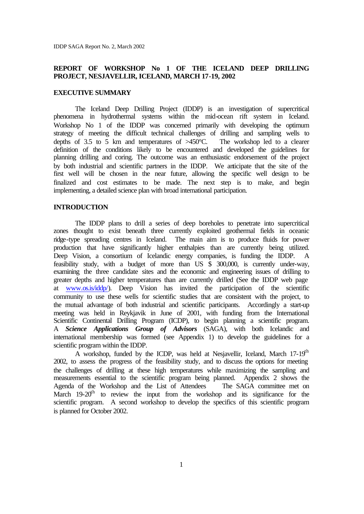IDDP SAGA Report No. 2, March 2002

# **REPORT OF WORKSHOP No 1 OF THE ICELAND DEEP DRILLING PROJECT, NESJAVELLIR, ICELAND, MARCH 17-19, 2002**

# **EXECUTIVE SUMMARY**

The Iceland Deep Drilling Project (IDDP) is an investigation of supercritical phenomena in hydrothermal systems within the mid-ocean rift system in Iceland. Workshop No 1 of the IDDP was concerned primarily with developing the optimum strategy of meeting the difficult technical challenges of drilling and sampling wells to depths of 3.5 to 5 km and temperatures of >450°C. The workshop led to a clearer definition of the conditions likely to be encountered and developed the guidelines for planning drilling and coring. The outcome was an enthusiastic endorsement of the project by both industrial and scientific partners in the IDDP. We anticipate that the site of the first well will be chosen in the near future, allowing the specific well design to be finalized and cost estimates to be made. The next step is to make, and begin implementing, a detailed science plan with broad international participation.

# **INTRODUCTION**

The IDDP plans to drill a series of deep boreholes to penetrate into supercritical zones thought to exist beneath three currently exploited geothermal fields in oceanic ridge-type spreading centres in Iceland. The main aim is to produce fluids for power production that have significantly higher enthalpies than are currently being utilized. Deep Vision, a consortium of Icelandic energy companies, is funding the IDDP. A feasibility study, with a budget of more than US \$ 300,000, is currently under-way, examining the three candidate sites and the economic and engineering issues of drilling to greater depths and higher temperatures than are currently drilled (See the IDDP web page at www.os.is/iddp/). Deep Vision has invited the participation of the scientific community to use these wells for scientific studies that are consistent with the project, to the mutual advantage of both industrial and scientific participants. Accordingly a start-up meeting was held in Reykjavik in June of 2001, with funding from the International Scientific Continental Drilling Program (ICDP), to begin planning a scientific program. A *Science Applications Group of Advisors* (SAGA), with both Icelandic and international membership was formed (see Appendix 1) to develop the guidelines for a scientific program within the IDDP.

A workshop, funded by the ICDP, was held at Nesjavellir, Iceland, March 17-19<sup>th</sup> 2002, to assess the progress of the feasibility study, and to discuss the options for meeting the challenges of drilling at these high temperatures while maximizing the sampling and measurements essential to the scientific program being planned. Appendix 2 shows the Agenda of the Workshop and the List of Attendees The SAGA committee met on March 19-20<sup>th</sup> to review the input from the workshop and its significance for the scientific program. A second workshop to develop the specifics of this scientific program is planned for October 2002.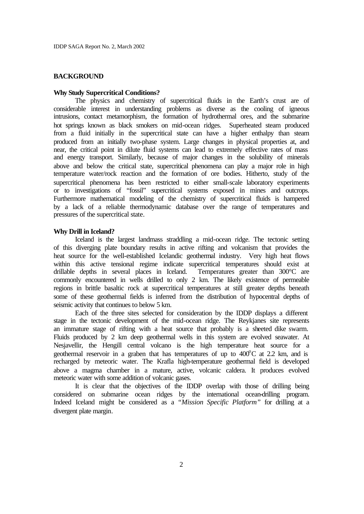# **BACKGROUND**

# **Why Study Supercritical Conditions?**

The physics and chemistry of supercritical fluids in the Earth's crust are of considerable interest in understanding problems as diverse as the cooling of igneous intrusions, contact metamorphism, the formation of hydrothermal ores, and the submarine hot springs known as black smokers on mid-ocean ridges. Superheated steam produced from a fluid initially in the supercritical state can have a higher enthalpy than steam produced from an initially two-phase system. Large changes in physical properties at, and near, the critical point in dilute fluid systems can lead to extremely effective rates of mass and energy transport. Similarly, because of major changes in the solubility of minerals above and below the critical state, supercritical phenomena can play a major role in high temperature water/rock reaction and the formation of ore bodies. Hitherto, study of the supercritical phenomena has been restricted to either small-scale laboratory experiments or to investigations of "fossil" supercritical systems exposed in mines and outcrops. Furthermore mathematical modeling of the chemistry of supercritical fluids is hampered by a lack of a reliable thermodynamic database over the range of temperatures and pressures of the supercritical state.

## **Why Drill in Iceland?**

Iceland is the largest landmass straddling a mid-ocean ridge. The tectonic setting of this diverging plate boundary results in active rifting and volcanism that provides the heat source for the well-established Icelandic geothermal industry. Very high heat flows within this active tensional regime indicate supercritical temperatures should exist at drillable depths in several places in Iceland. Temperatures greater than 300°C are commonly encountered in wells drilled to only 2 km. The likely existence of permeable regions in brittle basaltic rock at supercritical temperatures at still greater depths beneath some of these geothermal fields is inferred from the distribution of hypocentral depths of seismic activity that continues to below 5 km.

Each of the three sites selected for consideration by the IDDP displays a different stage in the tectonic development of the mid-ocean ridge. The Reykjanes site represents an immature stage of rifting with a heat source that probably is a sheeted dike swarm. Fluids produced by 2 km deep geothermal wells in this system are evolved seawater. At Nesjavellir, the Hengill central volcano is the high temperature heat source for a geothermal reservoir in a graben that has temperatures of up to  $400^{\circ}$ C at 2.2 km, and is recharged by meteoric water. The Krafla high-temperature geothermal field is developed above a magma chamber in a mature, active, volcanic caldera. It produces evolved meteoric water with some addition of volcanic gases.

It is clear that the objectives of the IDDP overlap with those of drilling being considered on submarine ocean ridges by the international ocean-drilling program. Indeed Iceland might be considered as a *"Mission Specific Platform"* for drilling at a divergent plate margin.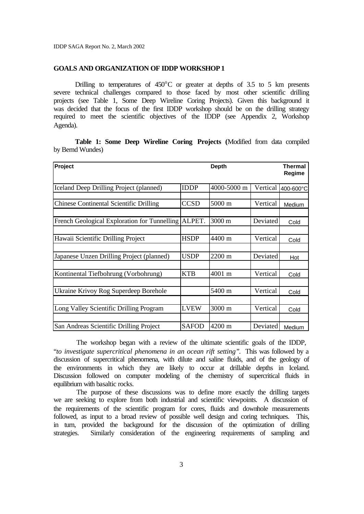### **GOALS AND ORGANIZATION OF IDDP WORKSHOP 1**

Drilling to temperatures of  $450^{\circ}$ C or greater at depths of 3.5 to 5 km presents severe technical challenges compared to those faced by most other scientific drilling projects (see Table 1, Some Deep Wireline Coring Projects). Given this background it was decided that the focus of the first IDDP workshop should be on the drilling strategy required to meet the scientific objectives of the IDDP (see Appendix 2, Workshop Agenda).

**Table 1: Some Deep Wireline Coring Projects (**Modified from data compiled by Bernd Wundes)

| Project                                             |              | Depth       |          | Thermal<br>Regime |
|-----------------------------------------------------|--------------|-------------|----------|-------------------|
| Iceland Deep Drilling Project (planned)             | <b>IDDP</b>  | 4000-5000 m | Vertical | 400-600°C         |
| <b>Chinese Continental Scientific Drilling</b>      | <b>CCSD</b>  | 5000 m      | Vertical | Medium            |
| French Geological Exploration for Tunnelling ALPET. |              | 3000 m      | Deviated | Cold              |
| Hawaii Scientific Drilling Project                  | <b>HSDP</b>  | 4400 m      | Vertical | Cold              |
| Japanese Unzen Drilling Project (planned)           | <b>USDP</b>  | 2200 m      | Deviated | Hot               |
| Kontinental Tiefbohrung (Vorbohrung)                | <b>KTB</b>   | 4001 m      | Vertical | Cold              |
| Ukraine Krivoy Rog Superdeep Borehole               |              | 5400 m      | Vertical | Cold              |
|                                                     |              |             |          |                   |
| Long Valley Scientific Drilling Program             | <b>LVEW</b>  | 3000 m      | Vertical | Cold              |
| San Andreas Scientific Drilling Project             | <b>SAFOD</b> | 4200 m      | Deviated | Medium            |

 The workshop began with a review of the ultimate scientific goals of the IDDP, "*to investigate supercritical phenomena in an ocean rift setting"*. This was followed by a discussion of supercritical phenomena, with dilute and saline fluids, and of the geology of the environments in which they are likely to occur at drillable depths in Iceland. Discussion followed on computer modeling of the chemistry of supercritical fluids in equilibrium with basaltic rocks.

 The purpose of these discussions was to define more exactly the drilling targets we are seeking to explore from both industrial and scientific viewpoints. A discussion of the requirements of the scientific program for cores, fluids and downhole measurements followed, as input to a broad review of possible well design and coring techniques. This, in turn, provided the background for the discussion of the optimization of drilling strategies. Similarly consideration of the engineering requirements of sampling and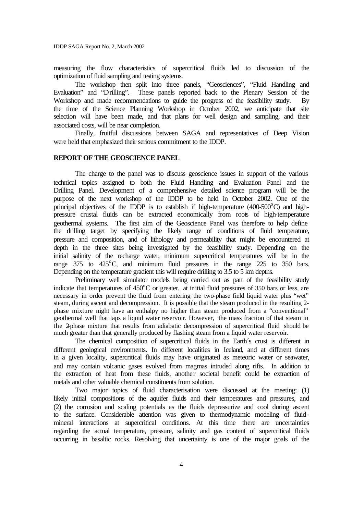measuring the flow characteristics of supercritical fluids led to discussion of the optimization of fluid sampling and testing systems.

The workshop then split into three panels, "Geosciences", "Fluid Handling and Evaluation" and "Drilling". These panels reported back to the Plenary Session of the Workshop and made recommendations to guide the progress of the feasibility study. By the time of the Science Planning Workshop in October 2002, we anticipate that site selection will have been made, and that plans for well design and sampling, and their associated costs, will be near completion.

Finally, fruitful discussions between SAGA and representatives of Deep Vision were held that emphasized their serious commitment to the IDDP.

# **REPORT OF THE GEOSCIENCE PANEL**

The charge to the panel was to discuss geoscience issues in support of the various technical topics assigned to both the Fluid Handling and Evaluation Panel and the Drilling Panel. Development of a comprehensive detailed science program will be the purpose of the next workshop of the IDDP to be held in October 2002. One of the principal objectives of the IDDP is to establish if high-temperature  $(400-500^{\circ}C)$  and highpressure crustal fluids can be extracted economically from roots of high-temperature geothermal systems. The first aim of the Geoscience Panel was therefore to help define the drilling target by specifying the likely range of conditions of fluid temperature, pressure and composition, and of lithology and permeability that might be encountered at depth in the three sites being investigated by the feasibility study. Depending on the initial salinity of the recharge water, minimum supercritical temperatures will be in the range  $375$  to  $425^{\circ}$ C, and minimum fluid pressures in the range  $225$  to  $350$  bars. Depending on the temperature gradient this will require drilling to 3.5 to 5 km depths.

Preliminary well simulator models being carried out as part of the feasibility study indicate that temperatures of  $450^{\circ}$ C or greater, at initial fluid pressures of 350 bars or less, are necessary in order prevent the fluid from entering the two-phase field liquid water plus "wet" steam, during ascent and decompression. It is possible that the steam produced in the resulting 2 phase mixture might have an enthalpy no higher than steam produced from a "conventional" geothermal well that taps a liquid water reservoir. However, the mass fraction of that steam in the 2-phase mixture that results from adiabatic decompression of supercritical fluid should be much greater than that generally produced by flashing steam from a liquid water reservoir.

The chemical composition of supercritical fluids in the Earth´s crust is different in different geological environments. In different localities in Iceland, and at different times in a given locality, supercritical fluids may have originated as meteoric water or seawater, and may contain volcanic gases evolved from magmas intruded along rifts. In addition to the extraction of heat from these fluids, another societal benefit could be extraction of metals and other valuable chemical constituents from solution.

Two major topics of fluid characterisation were discussed at the meeting: (1) likely initial compositions of the aquifer fluids and their temperatures and pressures, and (2) the corrosion and scaling potentials as the fluids depressurize and cool during ascent to the surface. Considerable attention was given to thermodynamic modeling of fluidmineral interactions at supercritical conditions. At this time there are uncertainties regarding the actual temperature, pressure, salinity and gas content of supercritical fluids occurring in basaltic rocks. Resolving that uncertainty is one of the major goals of the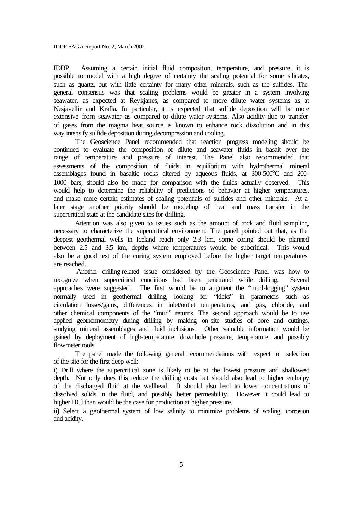IDDP SAGA Report No. 2, March 2002

IDDP. Assuming a certain initial fluid composition, temperature, and pressure, it is possible to model with a high degree of certainty the scaling potential for some silicates, such as quartz, but with little certainty for many other minerals, such as the sulfides. The general consensus was that scaling problems would be greater in a system involving seawater, as expected at Reykjanes, as compared to more dilute water systems as at Nesjavellir and Krafla. In particular, it is expected that sulfide deposition will be more extensive from seawater as compared to dilute water systems. Also acidity due to transfer of gases from the magma heat source is known to enhance rock dissolution and in this way intensify sulfide deposition during decompression and cooling.

The Geoscience Panel recommended that reaction progress modeling should be continued to evaluate the composition of dilute and seawater fluids in basalt over the range of temperature and pressure of interest. The Panel also recommended that assessments of the composition of fluids in equilibrium with hydrothermal mineral assemblages found in basaltic rocks altered by aqueous fluids, at  $300-500^{\circ}$ C and  $200-$ 1000 bars, should also be made for comparison with the fluids actually observed. This would help to determine the reliability of predictions of behavior at higher temperatures, and make more certain estimates of scaling potentials of sulfides and other minerals. At a later stage another priority should be modeling of heat and mass transfer in the supercritical state at the candidate sites for drilling.

Attention was also given to issues such as the amount of rock and fluid sampling, necessary to characterize the supercritical environment. The panel pointed out that, as the deepest geothermal wells in Iceland reach only 2.3 km, some coring should be planned between 2.5 and 3.5 km, depths where temperatures would be subcritical. This would also be a good test of the coring system employed before the higher target temperatures are reached.

Another drilling-related issue considered by the Geoscience Panel was how to recognize when supercritical conditions had been penetrated while drilling. Several approaches were suggested. The first would be to augment the "mud-logging" system normally used in geothermal drilling, looking for "kicks" in parameters such as circulation losses/gains, differences in inlet/outlet temperatures, and gas, chloride, and other chemical components of the "mud" returns. The second approach would be to use applied geothermometry during drilling by making on-site studies of core and cuttings, studying mineral assemblages and fluid inclusions. Other valuable information would be gained by deployment of high-temperature, downhole pressure, temperature, and possibly flowmeter tools.

The panel made the following general recommendations with respect to selection of the site for the first deep well:-

i) Drill where the supercritical zone is likely to be at the lowest pressure and shallowest depth. Not only does this reduce the drilling costs but should also lead to higher enthalpy of the discharged fluid at the wellhead. It should also lead to lower concentrations of dissolved solids in the fluid, and possibly better permeability. However it could lead to higher HCl than would be the case for production at higher pressure.

ii) Select a geothermal system of low salinity to minimize problems of scaling, corrosion and acidity.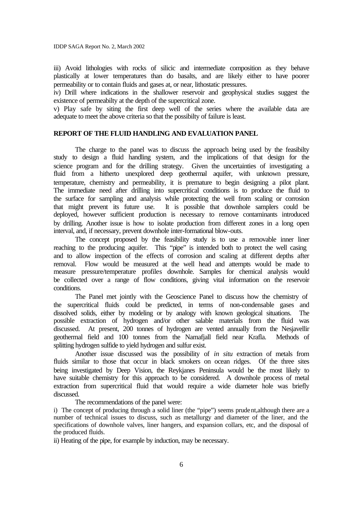iii) Avoid lithologies with rocks of silicic and intermediate composition as they behave plastically at lower temperatures than do basalts, and are likely either to have poorer permeability or to contain fluids and gases at, or near, lithostatic pressures.

iv) Drill where indications in the shallower reservoir and geophysical studies suggest the existence of permeabilty at the depth of the supercritical zone.

v) Play safe by siting the first deep well of the series where the available data are adequate to meet the above criteria so that the possibilty of failure is least.

# **REPORT OF THE FLUID HANDLING AND EVALUATION PANEL**

The charge to the panel was to discuss the approach being used by the feasibilty study to design a fluid handling system, and the implications of that design for the science program and for the drilling strategy. Given the uncertainties of investigating a fluid from a hitherto unexplored deep geothermal aquifer, with unknown pressure, temperature, chemistry and permeability, it is premature to begin designing a pilot plant. The immediate need after drilling into supercritical conditions is to produce the fluid to the surface for sampling and analysis while protecting the well from scaling or corrosion that might prevent its future use. It is possible that downhole samplers could be deployed, however sufficient production is necessary to remove contaminants introduced by drilling. Another issue is how to isolate production from different zones in a long open interval, and, if necessary, prevent downhole inter-formational blow-outs.

The concept proposed by the feasibility study is to use a removable inner liner reaching to the producing aquifer. This "pipe" is intended both to protect the well casing and to allow inspection of the effects of corrosion and scaling at different depths after removal. Flow would be measured at the well head and attempts would be made to measure pressure/temperature profiles downhole. Samples for chemical analysis would be collected over a range of flow conditions, giving vital information on the reservoir conditions.

The Panel met jointly with the Geoscience Panel to discuss how the chemistry of the supercritical fluids could be predicted, in terms of non-condensable gases and dissolved solids, either by modeling or by analogy with known geological situations. The possible extraction of hydrogen and/or other salable materials from the fluid was discussed. At present, 200 tonnes of hydrogen are vented annually from the Nesjavellir geothermal field and 100 tonnes from the Namafjall field near Krafla. Methods of splitting hydrogen sulfide to yield hydrogen and sulfur exist.

Another issue discussed was the possibility of *in situ* extraction of metals from fluids similar to those that occur in black smokers on ocean ridges. Of the three sites being investigated by Deep Vision, the Reykjanes Peninsula would be the most likely to have suitable chemistry for this approach to be considered. A downhole process of metal extraction from supercritical fluid that would require a wide diameter hole was briefly discussed.

The recommendations of the panel were:

i) The concept of producing through a solid liner (the "pipe") seems prudent,although there are a number of technical issues to discuss, such as metallurgy and diameter of the liner, and the specifications of downhole valves, liner hangers, and expansion collars, etc, and the disposal of the produced fluids.

ii) Heating of the pipe, for example by induction, may be necessary.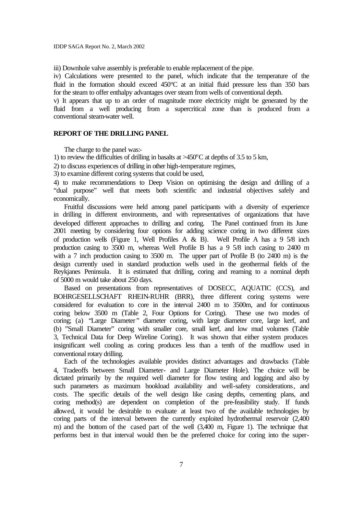iii) Downhole valve assembly is preferable to enable replacement of the pipe.

iv) Calculations were presented to the panel, which indicate that the temperature of the fluid in the formation should exceed 450°C at an initial fluid pressure less than 350 bars for the steam to offer enthalpy advantages over steam from wells of conventional depth.

v) It appears that up to an order of magnitude more electricity might be generated by the fluid from a well producing from a supercritical zone than is produced from a conventional steam-water well.

# **REPORT OF THE DRILLING PANEL**

The charge to the panel was:-

1) to review the difficulties of drilling in basalts at  $\geq 450^{\circ}$ C at depths of 3.5 to 5 km,

2) to discuss experiences of drilling in other high-temperature regimes,

3) to examine different coring systems that could be used,

4) to make recommendations to Deep Vision on optimising the design and drilling of a "dual purpose" well that meets both scientific and industrial objectives safely and economically.

Fruitful discussions were held among panel participants with a diversity of experience in drilling in different environments, and with representatives of organizations that have developed different approaches to drilling and coring. The Panel continued from its June 2001 meeting by considering four options for adding science coring in two different sizes of production wells (Figure 1, Well Profiles A & B). Well Profile A has a 9 5/8 inch production casing to 3500 m, whereas Well Profile B has a 9 5/8 inch casing to 2400 m with a 7 inch production casing to 3500 m. The upper part of Profile B (to 2400 m) is the design currently used in standard production wells used in the geothermal fields of the Reykjanes Peninsula. It is estimated that drilling, coring and reaming to a nominal depth of 5000 m would take about 250 days.

Based on presentations from representatives of DOSECC, AQUATIC (CCS), and BOHRGESELLSCHAFT RHEIN-RUHR (BRR), three different coring systems were considered for evaluation to core in the interval 2400 m to 3500m, and for continuous coring below 3500 m (Table 2, Four Options for Coring). These use two modes of coring; (a) *"*Large Diameter*"* diameter coring, with large diameter core, large kerf, and (b) "Small Diameter" coring with smaller core, small kerf, and low mud volumes (Table 3, Technical Data for Deep Wireline Coring). It was shown that either system produces insignificant well cooling as coring produces less than a tenth of the mudflow used in conventional rotary drilling.

Each of the technologies available provides distinct advantages and drawbacks (Table 4, Tradeoffs between Small Diameter- and Large Diameter Hole). The choice will be dictated primarily by the required well diameter for flow testing and logging and also by such parameters as maximum hookload availability and well-safety considerations, and costs. The specific details of the well design like casing depths, cementing plans, and coring method(s) are dependent on completion of the pre-feasibility study. If funds allowed, it would be desirable to evaluate at least two of the available technologies by coring parts of the interval between the currently exploited hydrothermal reservoir (2,400 m) and the bottom of the cased part of the well (3,400 m, Figure 1). The technique that performs best in that interval would then be the preferred choice for coring into the super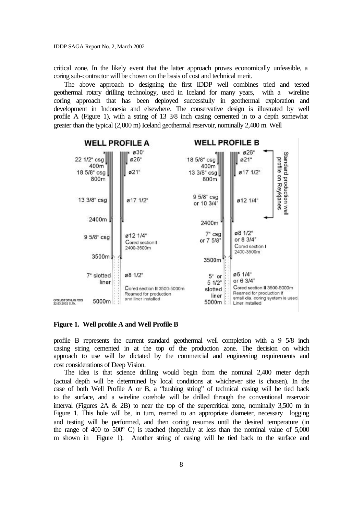critical zone. In the likely event that the latter approach proves economically unfeasible, a coring sub-contractor will be chosen on the basis of cost and technical merit.

The above approach to designing the first IDDP well combines tried and tested geothermal rotary drilling technology, used in Iceland for many years, with a wireline coring approach that has been deployed successfully in geothermal exploration and development in Indonesia and elsewhere. The conservative design is illustrated by well profile A (Figure 1), with a string of 13 3/8 inch casing cemented in to a depth somewhat greater than the typical (2,000 m) Iceland geothermal reservoir, nominally 2,400 m. Well



# **Figure 1. Well profile A and Well Profile B**

profile B represents the current standard geothermal well completion with a 9 5/8 inch casing string cemented in at the top of the production zone. The decision on which approach to use will be dictated by the commercial and engineering requirements and cost considerations of Deep Vision.

The idea is that science drilling would begin from the nominal 2,400 meter depth (actual depth will be determined by local conditions at whichever site is chosen). In the case of both Well Profile A or B, a "bushing string" of technical casing will be tied back to the surface, and a wireline corehole will be drilled through the conventional reservoir interval (Figures 2A  $\&$  2B) to near the top of the supercritical zone, nominally 3,500 m in Figure 1. This hole will be, in turn, reamed to an appropriate diameter, necessary logging and testing will be performed, and then coring resumes until the desired temperature (in the range of 400 to  $500^{\circ}$  C) is reached (hopefully at less than the nominal value of  $5,000$ m shown in Figure 1). Another string of casing will be tied back to the surface and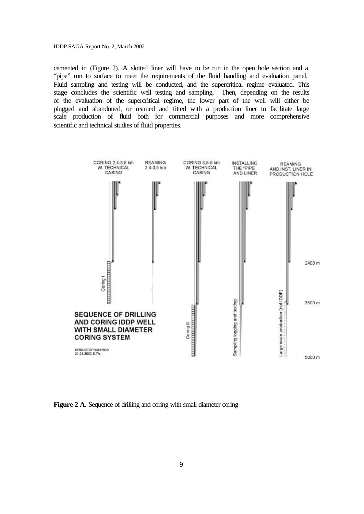cemented in (Figure 2). A slotted liner will have to be run in the open hole section and a "pipe" run to surface to meet the requirements of the fluid handling and evaluation panel. Fluid sampling and testing will be conducted, and the supercritical regime evaluated. This stage concludes the scientific well testing and sampling. Then, depending on the results of the evaluation of the supercritical regime, the lower part of the well will either be plugged and abandoned, or reamed and fitted with a production liner to facilitate large scale production of fluid both for commercial purposes and more comprehensive scientific and technical studies of fluid properties.



Figure 2 A. Sequence of drilling and coring with small diameter coring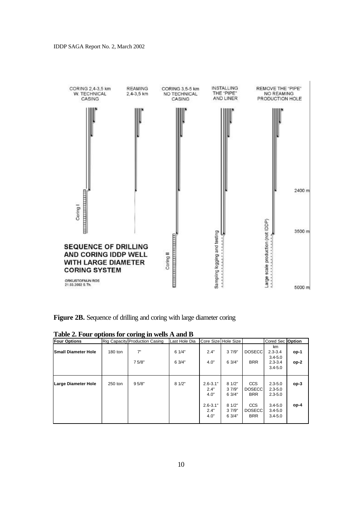

|  |  | Figure 2B. Sequence of drilling and coring with large diameter coring |  |
|--|--|-----------------------------------------------------------------------|--|
|  |  |                                                                       |  |

| <b>Four Options</b>        |         | Rig Capacity Production Casing | Last Hole Dia | Core Size Hole Size          |                         |                                           | Cored Sec Option                          |        |
|----------------------------|---------|--------------------------------|---------------|------------------------------|-------------------------|-------------------------------------------|-------------------------------------------|--------|
| <b>Small Diameter Hole</b> | 180 ton | 7"                             | 61/4"         | 2.4"                         | 37/9"                   | <b>DOSECC</b>                             | km<br>$2.3 - 3.4$<br>$3.4 - 5.0$          | op-1   |
|                            |         | 75/8"                          | 6 3/4"        | 4.0"                         | 63/4"                   | <b>BRR</b>                                | $2.3 - 3.4$<br>$3.4 - 5.0$                | $op-2$ |
| <b>Large Diameter Hole</b> | 250 ton | 95/8"                          | 81/2"         | $2.6 - 3.1"$<br>2.4"<br>4.0" | 81/2"<br>37/9"<br>63/4" | CCS<br><b>DOSECC</b><br><b>BRR</b>        | $2.3 - 5.0$<br>$2.3 - 5.0$<br>$2.3 - 5.0$ | $op-3$ |
|                            |         |                                |               | $2.6 - 3.1"$<br>2.4"<br>4.0" | 81/2"<br>37/9"<br>63/4" | <b>CCS</b><br><b>DOSECC</b><br><b>BRR</b> | $3.4 - 5.0$<br>$3.4 - 5.0$<br>$3.4 - 5.0$ | $op-4$ |

**Table 2. Four options for coring in wells A and B**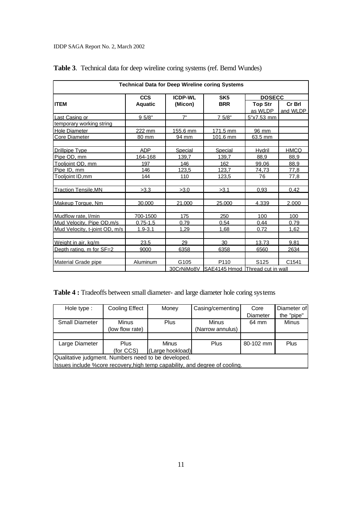| <b>Technical Data for Deep Wireline coring Systems</b> |                |                  |                                 |                  |                   |
|--------------------------------------------------------|----------------|------------------|---------------------------------|------------------|-------------------|
|                                                        | <b>CCS</b>     | <b>ICDP-WL</b>   | SK <sub>5</sub>                 | <b>DOSECC</b>    |                   |
| <b>ITEM</b>                                            | <b>Aquatic</b> | (Micon)          | <b>BRR</b>                      | <b>Top Str</b>   | Cr Brl            |
|                                                        |                |                  |                                 | as WLDP          | and WLDP          |
| Last Casing or                                         | 95/8"          | 7"               | 7 5/8"                          | 5"x7.53 mm       |                   |
| temporary working string                               |                |                  |                                 |                  |                   |
| <b>Hole Diameter</b>                                   | 222 mm         | 155.6 mm         | 171.5 mm                        | 96 mm            |                   |
| Core Diameter                                          | 80 mm          | 94 mm            | 101.6 mm                        | 63.5 mm          |                   |
| <b>Drillpipe Type</b>                                  | <b>ADP</b>     | Special          | Special                         | Hydril           | <b>HMCQ</b>       |
| Pipe OD, mm                                            | 164-168        | 139.7            | 139.7                           | 88,9             | 88,9              |
| Toolioint OD, mm                                       | 197            | 146              | 162                             | 99.06            | 88.9              |
| Pipe ID, mm                                            | 146            | 123.5            | 123.7                           | 74.73            | 77.8              |
| Tooljoint ID,mm                                        | 144            | 110              | 123,5                           | 76               | 77,8              |
| <b>Traction Tensile, MN</b>                            | >3.3           | >3.0             | >3.1                            | 0,93             | 0,42              |
|                                                        |                |                  |                                 |                  |                   |
| Makeup Torque, Nm                                      | 30.000         | 21.000           | 25.000                          | 4.339            | 2.000             |
| Mudflow rate, I/min                                    | 700-1500       | 175              | 250                             | 100              | 100               |
| Mud Velocity, Pipe OD, m/s                             | $0.75 - 1.5$   | 0.79             | 0.54                            | 0.44             | 0.79              |
| Mud Velocity, t-joint OD, m/s                          | $1.9 - 3.1$    | 1,29             | 1,68                            | 0.72             | 1,62              |
| Weight in air, kg/m                                    | 23.5           | 29               | 30                              | 13.73            | 9.81              |
| Depth rating, m for SF=2                               | 9000           | 6358             | 6358                            | 6560             | 2634              |
| Material Grade pipe                                    | Aluminum       | G <sub>105</sub> | P <sub>110</sub>                | S <sub>125</sub> | C <sub>1541</sub> |
|                                                        |                | 30CrNiMo8V       | SAE4145 Hmod Thread cut in wall |                  |                   |

|  |  |  |  |  | Table 3. Technical data for deep wireline coring systems (ref. Bernd Wundes) |  |  |  |
|--|--|--|--|--|------------------------------------------------------------------------------|--|--|--|
|--|--|--|--|--|------------------------------------------------------------------------------|--|--|--|

**Table 4 :** Tradeoffs between small diameter- and large diameter hole coring systems

| Hole type :                                                                  | Cooling Effect                | Money        | Casing/cementing | Core            | Diameter of |  |  |
|------------------------------------------------------------------------------|-------------------------------|--------------|------------------|-----------------|-------------|--|--|
|                                                                              |                               |              |                  | <b>Diameter</b> | the "pipe"  |  |  |
| <b>Small Diameter</b>                                                        | <b>Minus</b>                  | Plus         | <b>Minus</b>     | 64 mm           | Minus       |  |  |
|                                                                              | (low flow rate)               |              | (Narrow annulus) |                 |             |  |  |
|                                                                              |                               |              |                  |                 |             |  |  |
| Large Diameter                                                               | <b>Plus</b>                   | <b>Minus</b> | <b>Plus</b>      | 80-102 mm       | Plus        |  |  |
|                                                                              | (for CCS)<br>(Large hookload) |              |                  |                 |             |  |  |
| Qualitative judgment. Numbers need to be developed.                          |                               |              |                  |                 |             |  |  |
| Issues include % core recovery, high temp capability, and degree of cooling. |                               |              |                  |                 |             |  |  |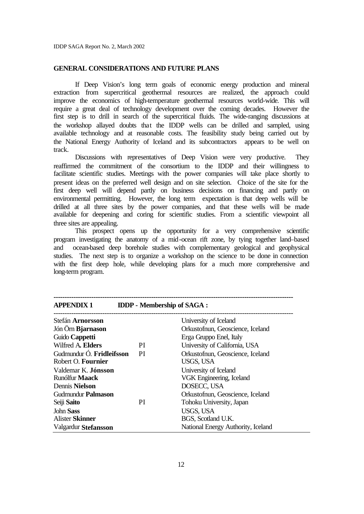# **GENERAL CONSIDERATIONS AND FUTURE PLANS**

If Deep Vision's long term goals of economic energy production and mineral extraction from supercritical geothermal resources are realized, the approach could improve the economics of high-temperature geothermal resources world-wide. This will require a great deal of technology development over the coming decades. However the first step is to drill in search of the supercritical fluids. The wide-ranging discussions at the workshop allayed doubts that the IDDP wells can be drilled and sampled, using available technology and at reasonable costs. The feasibility study being carried out by the National Energy Authority of Iceland and its subcontractors appears to be well on track.

Discussions with representatives of Deep Vision were very productive. They reaffirmed the commitment of the consortium to the IDDP and their willingness to facilitate scientific studies. Meetings with the power companies will take place shortly to present ideas on the preferred well design and on site selection. Choice of the site for the first deep well will depend partly on business decisions on financing and partly on environmental permitting. However, the long term expectation is that deep wells will be drilled at all three sites by the power companies, and that these wells will be made available for deepening and coring for scientific studies. From a scientific viewpoint all three sites are appealing.

This prospect opens up the opportunity for a very comprehensive scientific program investigating the anatomy of a mid-ocean rift zone, by tying together land–based and ocean-based deep borehole studies with complementary geological and geophysical studies. The next step is to organize a workshop on the science to be done in connection with the first deep hole, while developing plans for a much more comprehensive and long-term program.

| <b>APPENDIX1</b>          |           | <b>IDDP</b> - Membership of SAGA : |
|---------------------------|-----------|------------------------------------|
| Stefán Arnorsson          |           | University of Iceland              |
| Jón Örn Bjarnason         |           | Orkustofnun, Geoscience, Iceland   |
| Guido Cappetti            |           | Erga Gruppo Enel, Italy            |
| Wilfred A. Elders         | PI.       | University of California, USA      |
| Gudmundur Ó. Fridleifsson | <b>PI</b> | Orkustofnun, Geoscience, Iceland   |
| Robert O. Fournier        |           | USGS, USA                          |
| Valdemar K. Jónsson       |           | University of Iceland              |
| Runólfur <b>Maack</b>     |           | VGK Engineering, Iceland           |
| Dennis Nielson            |           | DOSECC, USA                        |
| Gudmundur <b>Palmason</b> |           | Orkustofnun, Geoscience, Iceland   |
| Seiji Saito               | PI        | Tohoku University, Japan           |
| <b>John Sass</b>          |           | <b>USGS, USA</b>                   |
| <b>Alister Skinner</b>    |           | BGS, Scotland U.K.                 |
| Valgardur Stefansson      |           | National Energy Authority, Iceland |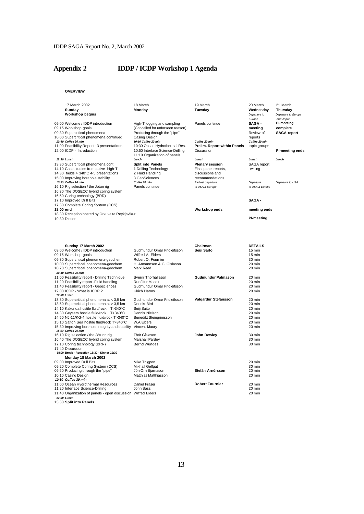# **Appendix 2 IDDP / ICDP Workshop 1 Agenda**

**OVERVIEW**

|           | 17 March 2002<br>Sunday<br><b>Workshop begins</b>                                                                                                            | 18 March<br>Monday                                                                                                                      | 19 March<br>Tuesday                                      | 20 March<br>Wednesday<br>Departure to                                | 21 March<br>Thursday<br>Departure to Europe               |
|-----------|--------------------------------------------------------------------------------------------------------------------------------------------------------------|-----------------------------------------------------------------------------------------------------------------------------------------|----------------------------------------------------------|----------------------------------------------------------------------|-----------------------------------------------------------|
|           | 09:00 Welcome / IDDP introduction<br>09:15 Workshop goals<br>09:30 Supercritical phenomena<br>10:00 Supercritical phenomena continued<br>10:40 Coffee 20 min | High-T logging and sampling<br>(Cancelled for unforseen reason)<br>Producing through the "pipe"<br>Casing Design<br>10:10 Coffee 20 min | Panels continue<br>Coffee 20 min                         | Europe<br>SAGA -<br>meeting<br>Review of<br>reports<br>Coffee 20 min | and Japan<br>PI-meeting<br>complete<br><b>SAGA</b> report |
|           | 11:00 Feasibility Report - 3 presentations<br>12:00 ICDP - Introduction                                                                                      | 10:30 Ocean Hydrothermal Res.<br>10:50 Interface Science-Drilling<br>11:10 Organization of panels                                       | <b>Prelim. Report within Panels</b><br><b>Discussion</b> | topic groups                                                         | PI-meeting ends                                           |
|           | 12:30 Lunch                                                                                                                                                  | Lunch                                                                                                                                   | Lunch                                                    | Lunch                                                                | Lunch                                                     |
|           | 13:30 Supercritical phenomena cont.<br>14:10 Case studies from active high-T                                                                                 | <b>Split into Panels</b>                                                                                                                | <b>Plenary session</b>                                   | SAGA report                                                          |                                                           |
|           | 14:30 fields > 340°C 4-5 presentations                                                                                                                       | 1 Drilling Technology<br>2 Fluid Handling                                                                                               | Final panel reports,<br>discussions and                  | writing                                                              |                                                           |
|           | 15:00 Improving borehole stability                                                                                                                           | 3 GeoSciences                                                                                                                           | recommendations                                          |                                                                      |                                                           |
|           | 15:30 Coffee 20 min                                                                                                                                          | Coffee 20 min                                                                                                                           | Earliest departure                                       | Departure                                                            | Departure to USA                                          |
|           | 16:10 Rig selection / the Jotun rig<br>16:30 The DOSECC hybrid coring system<br>16:50 Coring technology (BRR)                                                | Panels continue                                                                                                                         | to USA & Europe                                          | to USA & Europe                                                      |                                                           |
|           | 17:10 Improved Drill Bits                                                                                                                                    |                                                                                                                                         |                                                          | SAGA -                                                               |                                                           |
| 18:00 end | 17:30 Complete Coring System (CCS)<br>18:30 Reception hosted by Orkuveita Reykjavikur                                                                        |                                                                                                                                         | Workshop ends                                            | meeting ends                                                         |                                                           |
|           | 19:30 Dinner                                                                                                                                                 |                                                                                                                                         |                                                          | <b>PI-meeting</b>                                                    |                                                           |
|           | Sunday 17 March 2002                                                                                                                                         |                                                                                                                                         | Chairman                                                 | <b>DETAILS</b>                                                       |                                                           |
|           | 09:00 Welcome / IDDP introduction                                                                                                                            | Gudmundur Omar Fridleifsson                                                                                                             | Seiji Saito                                              | 15 min                                                               |                                                           |
|           | 09:15 Workshop goals<br>09:30 Supercritical phenomena-geochem.                                                                                               | Wilfred A. Elders<br>Robert O. Fournier                                                                                                 |                                                          | 15 min<br>30 min                                                     |                                                           |
|           | 10:00 Supercritical phenomena-geochem.                                                                                                                       | H. Armannson & G. Gislason                                                                                                              |                                                          | $20$ min                                                             |                                                           |
|           | 10:20 Supercritical phenomena-geochem.                                                                                                                       | Mark Reed                                                                                                                               |                                                          | 20 min                                                               |                                                           |
|           | 10:40 Coffee 20 min<br>11:00 Feasibility report - Drilling Technique                                                                                         | Sverrir Thorhallsson                                                                                                                    | Gudmundur Pálmason                                       | 20 min                                                               |                                                           |
|           | 11:20 Feasibility report - Fluid handling                                                                                                                    | Runólfur Maack                                                                                                                          |                                                          | 20 min                                                               |                                                           |
|           | 11:40 Feasibility report - Geosciences                                                                                                                       | Gudmundur Omar Fridleifsson                                                                                                             |                                                          | 20 min                                                               |                                                           |
|           | 12:00 ICDP - What is ICDP?                                                                                                                                   | <b>Ulrich Harms</b>                                                                                                                     |                                                          | 20 min                                                               |                                                           |
|           | 12:30 Lunch<br>13:30 Supercritical phenomena at < 3,5 km                                                                                                     | Gudmundur Omar Fridleifsson                                                                                                             | Valgardur Stefánsson                                     | 20 min                                                               |                                                           |
|           | 13:50 Supercritical phenomena at > 3,5 km                                                                                                                    | Dennis Bird                                                                                                                             |                                                          | 20 min                                                               |                                                           |
|           | 14:10 Kakonda hostile fluid/rock T>340°C                                                                                                                     | Seiji Saito                                                                                                                             |                                                          | 20 min                                                               |                                                           |
|           | 14:30 Geysers hostile fluid/rock T>340°C                                                                                                                     | Dennis Nielson                                                                                                                          |                                                          | 20 min                                                               |                                                           |
|           | 14:50 NJ-11/KG-4 hostile fluid/rock T>340°C<br>15:10 Salton Sea hostile fluid/rock T>340°C                                                                   | Benedikt Steingrimsson<br>W.A.Elders                                                                                                    |                                                          | 20 min<br>20 min                                                     |                                                           |
|           | 15:30 Improving borehole integrity and stability                                                                                                             | Vincent Maury                                                                                                                           |                                                          | 20 min                                                               |                                                           |
|           | 15:50 Coffee 20 min                                                                                                                                          |                                                                                                                                         |                                                          |                                                                      |                                                           |
|           | 16:10 Rig selection / the Jötunn rig<br>16:40 The DOSECC hybrid coring system                                                                                | Thór Gíslason<br>Marshall Pardey                                                                                                        | John Rowley                                              | 30 min<br>30 min                                                     |                                                           |
|           | 17:10 Coring technology (BRR)                                                                                                                                | <b>Bernd Wundes</b>                                                                                                                     |                                                          | 30 min                                                               |                                                           |
|           | 17:40 Discussion                                                                                                                                             |                                                                                                                                         |                                                          |                                                                      |                                                           |
|           | 18:00 Break - Reception 18:30 - Dinner 19:30<br>Monday 18 March 2002                                                                                         |                                                                                                                                         |                                                          |                                                                      |                                                           |
|           | 09:00 Improved Drill Bits                                                                                                                                    | Mike Thigpen                                                                                                                            |                                                          | 20 min                                                               |                                                           |
|           | 09:20 Complete Coring System (CCS)                                                                                                                           | Mikhail Gelfgat                                                                                                                         |                                                          | 30 min                                                               |                                                           |
|           | 09:50 Producing through the "pipe"                                                                                                                           | Jón Orn Bjarnason                                                                                                                       | Stefán Arnórsson                                         | 20 min                                                               |                                                           |
|           | 10:10 Casing Design<br>10:30 Coffee 30 min                                                                                                                   | Matthias Matthiasson                                                                                                                    |                                                          | 20 min                                                               |                                                           |
|           | 11:00 Ocean Hydrothermal Resources                                                                                                                           | Daniel Fraser                                                                                                                           | <b>Robert Fournier</b>                                   | 20 min                                                               |                                                           |
|           | 11:20 Interface Science-Drilling                                                                                                                             | John Sass                                                                                                                               |                                                          | 20 min                                                               |                                                           |
|           | 11:40 Organization of panels - open discussion Wilfred Elders                                                                                                |                                                                                                                                         |                                                          | 20 min                                                               |                                                           |
|           | 12:00 Lunch<br>13:30 Split into Panels                                                                                                                       |                                                                                                                                         |                                                          |                                                                      |                                                           |